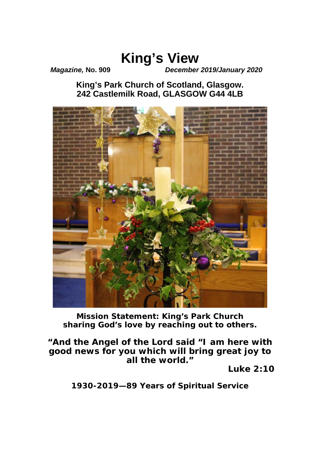# **King's View**

*Magazine,* **No. 909** *December 2019/January 2020*

**King's Park Church of Scotland, Glasgow. 242 Castlemilk Road, GLASGOW G44 4LB**



**Mission Statement:** *King's Park Church sharing God's love by reaching out to others.*

*"And the Angel of the Lord said "I am here with good news for you which will bring great joy to all the world."* 

*Luke 2:10* 

*1930-2019—89 Years of Spiritual Service*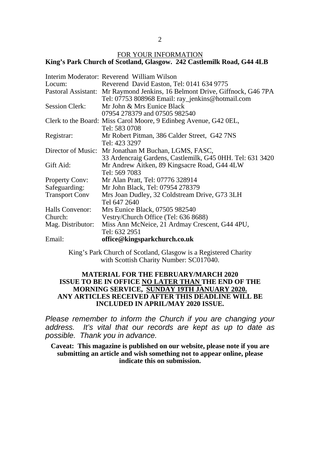2

#### FOR YOUR INFORMATION **King's Park Church of Scotland, Glasgow. 242 Castlemilk Road, G44 4LB**

|                       | Interim Moderator: Reverend William Wilson                                  |
|-----------------------|-----------------------------------------------------------------------------|
| Locum:                | Reverend David Easton, Tel: 0141 634 9775                                   |
|                       | Pastoral Assistant: Mr Raymond Jenkins, 16 Belmont Drive, Giffnock, G46 7PA |
|                       | Tel: 07753 808968 Email: ray_jenkins@hotmail.com                            |
| Session Clerk:        | Mr John & Mrs Eunice Black                                                  |
|                       | 07954 278379 and 07505 982540                                               |
|                       | Clerk to the Board: Miss Carol Moore, 9 Edinbeg Avenue, G42 0EL,            |
|                       | Tel: 583 0708                                                               |
| Registrar:            | Mr Robert Pitman, 386 Calder Street, G42 7NS                                |
|                       | Tel: 423 3297                                                               |
|                       | Director of Music: Mr Jonathan M Buchan, LGMS, FASC,                        |
|                       | 33 Ardencraig Gardens, Castlemilk, G45 0HH. Tel: 631 3420                   |
| Gift Aid:             | Mr Andrew Aitken, 89 Kingsacre Road, G44 4LW                                |
|                       | Tel: 569 7083                                                               |
| <b>Property Conv:</b> | Mr Alan Pratt, Tel: 07776 328914                                            |
| Safeguarding:         | Mr John Black, Tel: 07954 278379                                            |
| <b>Transport Conv</b> | Mrs Joan Dudley, 32 Coldstream Drive, G73 3LH                               |
|                       | Tel 647 2640                                                                |
| Halls Convenor:       | Mrs Eunice Black, 07505 982540                                              |
| Church:               | Vestry/Church Office (Tel: 636 8688)                                        |
| Mag. Distributor:     | Miss Ann McNeice, 21 Ardmay Crescent, G44 4PU,                              |
|                       | Tel: 632 2951                                                               |
| Email:                | office@kingsparkchurch.co.uk                                                |

King's Park Church of Scotland, Glasgow is a Registered Charity with Scottish Charity Number: SC017040.

#### **MATERIAL FOR THE FEBRUARY/MARCH 2020 ISSUE TO BE IN OFFICE NO LATER THAN THE END OF THE MORNING SERVICE, SUNDAY 19TH JANUARY 2020. ANY ARTICLES RECEIVED AFTER THIS DEADLINE WILL BE INCLUDED IN APRIL/MAY 2020 ISSUE.**

*Please remember to inform the Church if you are changing your address. It's vital that our records are kept as up to date as possible. Thank you in advance.* 

**Caveat: This magazine is published on our website, please note if you are submitting an article and wish something not to appear online, please indicate this on submission.**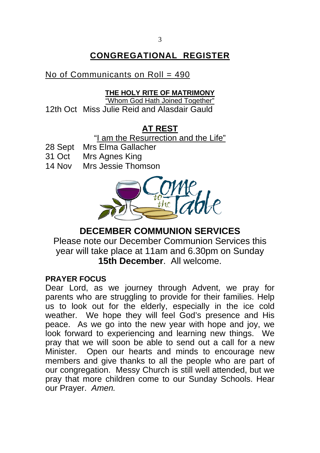# **CONGREGATIONAL REGISTER**

# No of Communicants on Roll = 490

## **THE HOLY RITE OF MATRIMONY**

"Whom God Hath Joined Together" 12th Oct Miss Julie Reid and Alasdair Gauld

# **AT REST**

"I am the Resurrection and the Life"

- 28 Sept Mrs Elma Gallacher
- 31 Oct Mrs Agnes King
- 14 Nov Mrs Jessie Thomson



# **DECEMBER COMMUNION SERVICES**

Please note our December Communion Services this year will take place at 11am and 6.30pm on Sunday **15th December**. All welcome.

# **PRAYER FOCUS**

Dear Lord, as we journey through Advent, we pray for parents who are struggling to provide for their families. Help us to look out for the elderly, especially in the ice cold weather. We hope they will feel God's presence and His peace. As we go into the new year with hope and joy, we look forward to experiencing and learning new things. We pray that we will soon be able to send out a call for a new Minister. Open our hearts and minds to encourage new members and give thanks to all the people who are part of our congregation. Messy Church is still well attended, but we pray that more children come to our Sunday Schools. Hear our Prayer. *Amen.*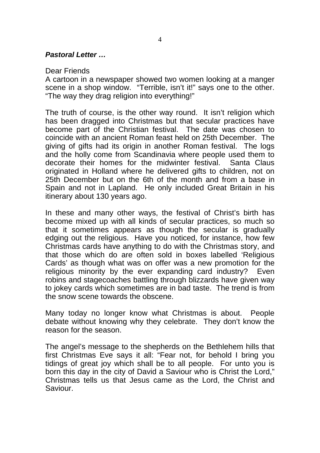#### *Pastoral Letter …*

#### Dear Friends

A cartoon in a newspaper showed two women looking at a manger scene in a shop window. "Terrible, isn't it!" says one to the other. "The way they drag religion into everything!"

The truth of course, is the other way round. It isn't religion which has been dragged into Christmas but that secular practices have become part of the Christian festival. The date was chosen to coincide with an ancient Roman feast held on 25th December. The giving of gifts had its origin in another Roman festival. The logs and the holly come from Scandinavia where people used them to decorate their homes for the midwinter festival. Santa Claus originated in Holland where he delivered gifts to children, not on 25th December but on the 6th of the month and from a base in Spain and not in Lapland. He only included Great Britain in his itinerary about 130 years ago.

In these and many other ways, the festival of Christ's birth has become mixed up with all kinds of secular practices, so much so that it sometimes appears as though the secular is gradually edging out the religious. Have you noticed, for instance, how few Christmas cards have anything to do with the Christmas story, and that those which do are often sold in boxes labelled 'Religious Cards' as though what was on offer was a new promotion for the religious minority by the ever expanding card industry? Even robins and stagecoaches battling through blizzards have given way to jokey cards which sometimes are in bad taste. The trend is from the snow scene towards the obscene.

Many today no longer know what Christmas is about. People debate without knowing why they celebrate. They don't know the reason for the season.

The angel's message to the shepherds on the Bethlehem hills that first Christmas Eve says it all: "Fear not, for behold I bring you tidings of great joy which shall be to all people. For unto you is born this day in the city of David a Saviour who is Christ the Lord," Christmas tells us that Jesus came as the Lord, the Christ and Saviour.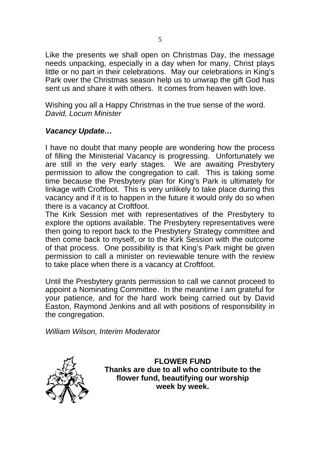Like the presents we shall open on Christmas Day, the message needs unpacking, especially in a day when for many, Christ plays little or no part in their celebrations. May our celebrations in King's Park over the Christmas season help us to unwrap the gift God has sent us and share it with others. It comes from heaven with love.

Wishing you all a Happy Christmas in the true sense of the word. *David, Locum Minister* 

## *Vacancy Update…*

I have no doubt that many people are wondering how the process of filling the Ministerial Vacancy is progressing. Unfortunately we are still in the very early stages. We are awaiting Presbytery permission to allow the congregation to call. This is taking some time because the Presbytery plan for King's Park is ultimately for linkage with Croftfoot. This is very unlikely to take place during this vacancy and if it is to happen in the future it would only do so when there is a vacancy at Croftfoot.

The Kirk Session met with representatives of the Presbytery to explore the options available. The Presbytery representatives were then going to report back to the Presbytery Strategy committee and then come back to myself, or to the Kirk Session with the outcome of that process. One possibility is that King's Park might be given permission to call a minister on reviewable tenure with the review to take place when there is a vacancy at Croftfoot.

Until the Presbytery grants permission to call we cannot proceed to appoint a Nominating Committee. In the meantime I am grateful for your patience, and for the hard work being carried out by David Easton, Raymond Jenkins and all with positions of responsibility in the congregation.

*William Wilson, Interim Moderator* 



**FLOWER FUND Thanks are due to all who contribute to the flower fund, beautifying our worship week by week.**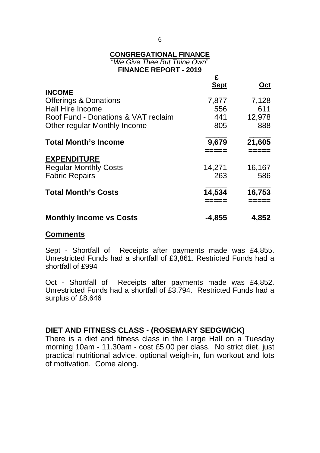#### **CONGREGATIONAL FINANCE**

"*We Give Thee But Thine Own*" **FINANCE REPORT - 2019** 

| <b>INCOME</b>                       | £<br><b>Sept</b> | Oct    |
|-------------------------------------|------------------|--------|
| <b>Offerings &amp; Donations</b>    | 7,877            | 7,128  |
| <b>Hall Hire Income</b>             | 556              | 611    |
| Roof Fund - Donations & VAT reclaim | 441              | 12,978 |
| Other regular Monthly Income        | 805              | 888    |
| <b>Total Month's Income</b>         | 9,679            | 21,605 |
| <b>EXPENDITURE</b>                  |                  |        |
| <b>Regular Monthly Costs</b>        | 14,271           | 16,167 |
| <b>Fabric Repairs</b>               | 263              | 586    |
| <b>Total Month's Costs</b>          | 14,534           | 16,753 |
| <b>Monthly Income vs Costs</b>      | $-4,855$         | 4,852  |

#### **Comments**

Sept - Shortfall of Receipts after payments made was £4,855. Unrestricted Funds had a shortfall of £3,861. Restricted Funds had a shortfall of £994

Oct - Shortfall of Receipts after payments made was £4,852. Unrestricted Funds had a shortfall of £3,794. Restricted Funds had a surplus of £8,646

## **DIET AND FITNESS CLASS - (ROSEMARY SEDGWICK)**

There is a diet and fitness class in the Large Hall on a Tuesday morning 10am - 11.30am - cost £5.00 per class. No strict diet, just practical nutritional advice, optional weigh-in, fun workout and lots of motivation. Come along.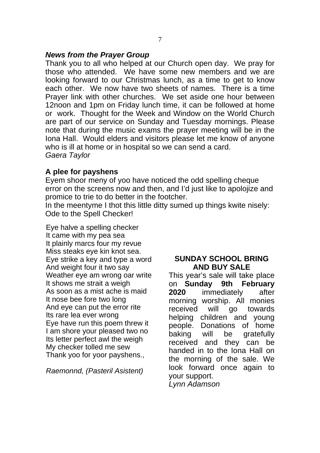#### *News from the Prayer Group*

Thank you to all who helped at our Church open day. We pray for those who attended. We have some new members and we are looking forward to our Christmas lunch, as a time to get to know each other. We now have two sheets of names. There is a time Prayer link with other churches. We set aside one hour between 12noon and 1pm on Friday lunch time, it can be followed at home or work. Thought for the Week and Window on the World Church are part of our service on Sunday and Tuesday mornings. Please note that during the music exams the prayer meeting will be in the Iona Hall. Would elders and visitors please let me know of anyone who is ill at home or in hospital so we can send a card. *Gaera Taylor* 

### **A plee for payshens**

Eyem shoor meny of yoo have noticed the odd spelling cheque error on the screens now and then, and I'd just like to apolojize and promice to trie to do better in the footcher.

In the meentyme I thot this little ditty sumed up things kwite nisely: Ode to the Spell Checker!

Eye halve a spelling checker It came with my pea sea It plainly marcs four my revue Miss steaks eye kin knot sea. Eye strike a key and type a word And weight four it two say Weather eye am wrong oar write It shows me strait a weigh As soon as a mist ache is maid It nose bee fore two long And eye can put the error rite Its rare lea ever wrong Eye have run this poem threw it I am shore your pleased two no Its letter perfect awl the weigh My checker tolled me sew Thank yoo for yoor payshens.,

*Raemonnd, (Pasteril Asistent)* 

#### **SUNDAY SCHOOL BRING AND BUY SALE**

This year's sale will take place on **Sunday 9th February 2020** immediately after morning worship. All monies received will go towards helping children and young people. Donations of home baking will be gratefully received and they can be handed in to the Iona Hall on the morning of the sale. We look forward once again to your support. *Lynn Adamson*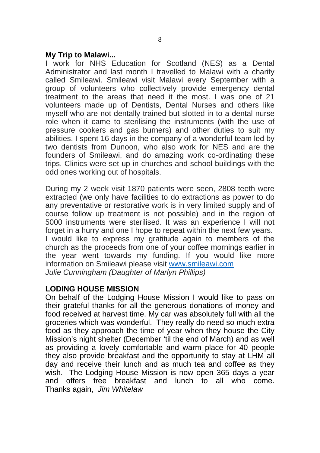#### **My Trip to Malawi...**

I work for NHS Education for Scotland (NES) as a Dental Administrator and last month I travelled to Malawi with a charity called Smileawi. Smileawi visit Malawi every September with a group of volunteers who collectively provide emergency dental treatment to the areas that need it the most. I was one of 21 volunteers made up of Dentists, Dental Nurses and others like myself who are not dentally trained but slotted in to a dental nurse role when it came to sterilising the instruments (with the use of pressure cookers and gas burners) and other duties to suit my abilities. I spent 16 days in the company of a wonderful team led by two dentists from Dunoon, who also work for NES and are the founders of Smileawi, and do amazing work co-ordinating these trips. Clinics were set up in churches and school buildings with the odd ones working out of hospitals.

During my 2 week visit 1870 patients were seen, 2808 teeth were extracted (we only have facilities to do extractions as power to do any preventative or restorative work is in very limited supply and of course follow up treatment is not possible) and in the region of 5000 instruments were sterilised. It was an experience I will not forget in a hurry and one I hope to repeat within the next few years. I would like to express my gratitude again to members of the church as the proceeds from one of your coffee mornings earlier in the year went towards my funding. If you would like more information on Smileawi please visit www.smileawi.com *Julie Cunningham (Daughter of Marlyn Phillips)*

#### **LODING HOUSE MISSION**

On behalf of the Lodging House Mission I would like to pass on their grateful thanks for all the generous donations of money and food received at harvest time. My car was absolutely full with all the groceries which was wonderful. They really do need so much extra food as they approach the time of year when they house the City Mission's night shelter (December 'til the end of March) and as well as providing a lovely comfortable and warm place for 40 people they also provide breakfast and the opportunity to stay at LHM all day and receive their lunch and as much tea and coffee as they wish. The Lodging House Mission is now open 365 days a year and offers free breakfast and lunch to all who come. Thanks again, *Jim Whitelaw*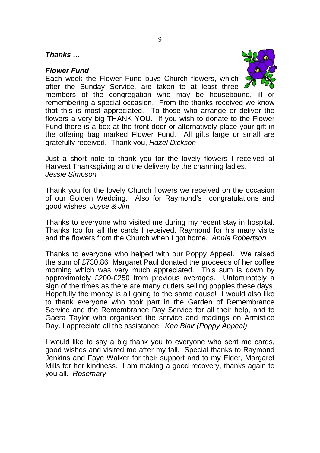#### *Thanks …*

#### *Flower Fund*

Each week the Flower Fund buys Church flowers, which



after the Sunday Service, are taken to at least three members of the congregation who may be housebound, ill or remembering a special occasion. From the thanks received we know that this is most appreciated. To those who arrange or deliver the flowers a very big THANK YOU. If you wish to donate to the Flower Fund there is a box at the front door or alternatively place your gift in the offering bag marked Flower Fund. All gifts large or small are gratefully received. Thank you, *Hazel Dickson* 

Just a short note to thank you for the lovely flowers I received at Harvest Thanksgiving and the delivery by the charming ladies. *Jessie Simpson* 

Thank you for the lovely Church flowers we received on the occasion of our Golden Wedding. Also for Raymond's congratulations and good wishes. *Joyce & Jim* 

Thanks to everyone who visited me during my recent stay in hospital. Thanks too for all the cards I received, Raymond for his many visits and the flowers from the Church when I got home. *Annie Robertson* 

Thanks to everyone who helped with our Poppy Appeal. We raised the sum of £730.86 Margaret Paul donated the proceeds of her coffee morning which was very much appreciated. This sum is down by approximately £200-£250 from previous averages. Unfortunately a sign of the times as there are many outlets selling poppies these days. Hopefully the money is all going to the same cause! I would also like to thank everyone who took part in the Garden of Remembrance Service and the Remembrance Day Service for all their help, and to Gaera Taylor who organised the service and readings on Armistice Day. I appreciate all the assistance. *Ken Blair (Poppy Appeal)* 

I would like to say a big thank you to everyone who sent me cards, good wishes and visited me after my fall. Special thanks to Raymond Jenkins and Faye Walker for their support and to my Elder, Margaret Mills for her kindness. I am making a good recovery, thanks again to you all. *Rosemary*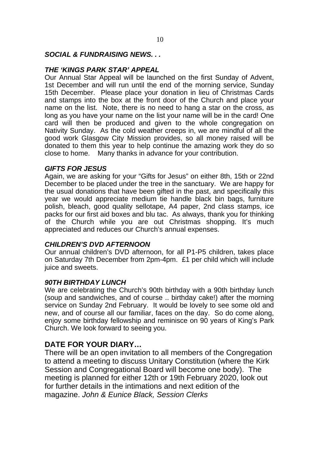#### *SOCIAL & FUNDRAISING NEWS. . .*

#### *THE 'KINGS PARK STAR' APPEAL*

Our Annual Star Appeal will be launched on the first Sunday of Advent, 1st December and will run until the end of the morning service, Sunday 15th December. Please place your donation in lieu of Christmas Cards and stamps into the box at the front door of the Church and place your name on the list. Note, there is no need to hang a star on the cross, as long as you have your name on the list your name will be in the card! One card will then be produced and given to the whole congregation on Nativity Sunday. As the cold weather creeps in, we are mindful of all the good work Glasgow City Mission provides, so all money raised will be donated to them this year to help continue the amazing work they do so close to home. Many thanks in advance for your contribution.

#### *GIFTS FOR JESUS*

Again, we are asking for your "Gifts for Jesus" on either 8th, 15th or 22nd December to be placed under the tree in the sanctuary. We are happy for the usual donations that have been gifted in the past, and specifically this year we would appreciate medium tie handle black bin bags, furniture polish, bleach, good quality sellotape, A4 paper, 2nd class stamps, ice packs for our first aid boxes and blu tac. As always, thank you for thinking of the Church while you are out Christmas shopping. It's much appreciated and reduces our Church's annual expenses.

#### *CHILDREN'S DVD AFTERNOON*

Our annual children's DVD afternoon, for all P1-P5 children, takes place on Saturday 7th December from 2pm-4pm. £1 per child which will include juice and sweets.

#### *90TH BIRTHDAY LUNCH*

We are celebrating the Church's 90th birthday with a 90th birthday lunch (soup and sandwiches, and of course .. birthday cake!) after the morning service on Sunday 2nd February. It would be lovely to see some old and new, and of course all our familiar, faces on the day. So do come along, enjoy some birthday fellowship and reminisce on 90 years of King's Park Church. We look forward to seeing you.

#### **DATE FOR YOUR DIARY…**

There will be an open invitation to all members of the Congregation to attend a meeting to discuss Unitary Constitution (where the Kirk Session and Congregational Board will become one body). The meeting is planned for either 12th or 19th February 2020, look out for further details in the intimations and next edition of the magazine. *John & Eunice Black, Session Clerks*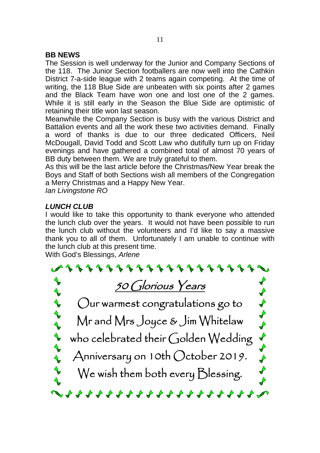#### **BB NEWS**

The Session is well underway for the Junior and Company Sections of the 118. The Junior Section footballers are now well into the Cathkin District 7-a-side league with 2 teams again competing. At the time of writing, the 118 Blue Side are unbeaten with six points after 2 games and the Black Team have won one and lost one of the 2 games. While it is still early in the Season the Blue Side are optimistic of retaining their title won last season.

Meanwhile the Company Section is busy with the various District and Battalion events and all the work these two activities demand. Finally a word of thanks is due to our three dedicated Officers, Neil McDougall, David Todd and Scott Law who dutifully turn up on Friday evenings and have gathered a combined total of almost 70 years of BB duty between them. We are truly grateful to them.

As this will be the last article before the Christmas/New Year break the Boys and Staff of both Sections wish all members of the Congregation a Merry Christmas and a Happy New Year.

*Ian Livingstone RO* 

#### *LUNCH CLUB*

I would like to take this opportunity to thank everyone who attended the lunch club over the years. It would not have been possible to run the lunch club without the volunteers and I'd like to say a massive thank you to all of them. Unfortunately I am unable to continue with the lunch club at this present time.

With God's Blessings, *Arlene*